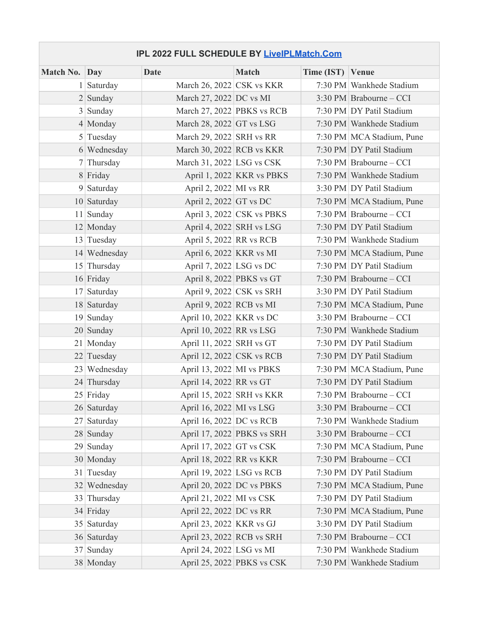## **IPL 2022 FULL SCHEDULE BY LiveIPLMatch.Com**

| Match No. Day |              | <b>Date</b>                | <b>Match</b>                              | Time (IST) Venue |                           |
|---------------|--------------|----------------------------|-------------------------------------------|------------------|---------------------------|
|               | 1 Saturday   | March 26, 2022 CSK vs KKR  |                                           |                  | 7:30 PM Wankhede Stadium  |
|               | $2$ Sunday   | March 27, 2022 DC vs MI    |                                           |                  | 3:30 PM Brabourne – CCI   |
|               | $3$ Sunday   | March 27, 2022 PBKS vs RCB |                                           |                  | 7:30 PM DY Patil Stadium  |
|               | 4 Monday     | March 28, 2022 GT vs LSG   |                                           |                  | 7:30 PM Wankhede Stadium  |
|               | $5$ Tuesday  | March 29, 2022 SRH vs RR   |                                           |                  | 7:30 PM MCA Stadium, Pune |
|               | 6 Wednesday  | March 30, 2022 RCB vs KKR  |                                           |                  | 7:30 PM DY Patil Stadium  |
|               | 7 Thursday   | March 31, 2022 LSG vs CSK  |                                           |                  | 7:30 PM Brabourne – CCI   |
|               | 8 Friday     |                            | April 1, 2022 KKR vs PBKS                 |                  | 7:30 PM Wankhede Stadium  |
|               | $9$ Saturday | April 2, 2022 MI vs RR     |                                           |                  | 3:30 PM DY Patil Stadium  |
|               | 10 Saturday  | April 2, 2022 GT vs DC     |                                           |                  | 7:30 PM MCA Stadium, Pune |
|               | 11 Sunday    |                            | April 3, 2022 CSK vs PBKS                 |                  | 7:30 PM Brabourne – CCI   |
|               | 12 Monday    | April 4, 2022 SRH vs LSG   |                                           |                  | 7:30 PM DY Patil Stadium  |
|               | 13 Tuesday   | April 5, 2022 RR vs RCB    |                                           |                  | 7:30 PM Wankhede Stadium  |
|               | 14 Wednesday | April 6, 2022 KKR vs MI    |                                           |                  | 7:30 PM MCA Stadium, Pune |
|               | 15 Thursday  | April 7, 2022 LSG vs DC    |                                           |                  | 7:30 PM DY Patil Stadium  |
|               | 16 Friday    | April 8, 2022 PBKS vs GT   |                                           |                  | 7:30 PM Brabourne – CCI   |
|               | 17 Saturday  |                            | April 9, 2022 $ {\rm CSK} \rangle$ vs SRH |                  | 3:30 PM DY Patil Stadium  |
|               | 18 Saturday  | April 9, 2022 RCB vs MI    |                                           |                  | 7:30 PM MCA Stadium, Pune |
|               | 19 Sunday    | April 10, 2022 KKR vs DC   |                                           |                  | 3:30 PM Brabourne – CCI   |
|               | 20 Sunday    | April 10, 2022 RR vs LSG   |                                           |                  | 7:30 PM Wankhede Stadium  |
|               | 21 Monday    | April 11, 2022 SRH vs GT   |                                           |                  | 7:30 PM DY Patil Stadium  |
|               | 22 Tuesday   | April 12, 2022 CSK vs RCB  |                                           |                  | 7:30 PM DY Patil Stadium  |
|               | 23 Wednesday | April 13, 2022 MI vs PBKS  |                                           |                  | 7:30 PM MCA Stadium, Pune |
|               | 24 Thursday  | April 14, 2022 RR vs GT    |                                           |                  | 7:30 PM DY Patil Stadium  |
|               | 25 Friday    | April 15, 2022 SRH vs KKR  |                                           |                  | 7:30 PM Brabourne – CCI   |
|               | 26 Saturday  | April 16, 2022 MI vs LSG   |                                           |                  | 3:30 PM Brabourne - CCI   |
|               | 27 Saturday  | April 16, 2022 DC vs RCB   |                                           |                  | 7:30 PM Wankhede Stadium  |
|               | 28 Sunday    |                            | April 17, 2022 PBKS vs SRH                |                  | 3:30 PM Brabourne – CCI   |
|               | 29 Sunday    | April 17, 2022 GT vs CSK   |                                           |                  | 7:30 PM MCA Stadium, Pune |
|               | 30 Monday    | April 18, 2022 RR vs KKR   |                                           |                  | 7:30 PM Brabourne – CCI   |
|               | 31 Tuesday   | April 19, 2022 LSG vs RCB  |                                           |                  | 7:30 PM DY Patil Stadium  |
|               | 32 Wednesday | April 20, 2022 DC vs PBKS  |                                           |                  | 7:30 PM MCA Stadium, Pune |
|               | 33 Thursday  | April 21, 2022 MI vs CSK   |                                           |                  | 7:30 PM DY Patil Stadium  |
|               | 34 Friday    | April 22, 2022 DC vs RR    |                                           |                  | 7:30 PM MCA Stadium, Pune |
|               | 35 Saturday  | April 23, 2022 KKR vs GJ   |                                           |                  | 3:30 PM DY Patil Stadium  |
|               | 36 Saturday  | April 23, 2022 RCB vs SRH  |                                           |                  | 7:30 PM Brabourne – CCI   |
|               | 37 Sunday    | April 24, 2022 LSG vs MI   |                                           |                  | 7:30 PM Wankhede Stadium  |
|               | 38 Monday    |                            | April 25, 2022 PBKS vs CSK                |                  | 7:30 PM Wankhede Stadium  |